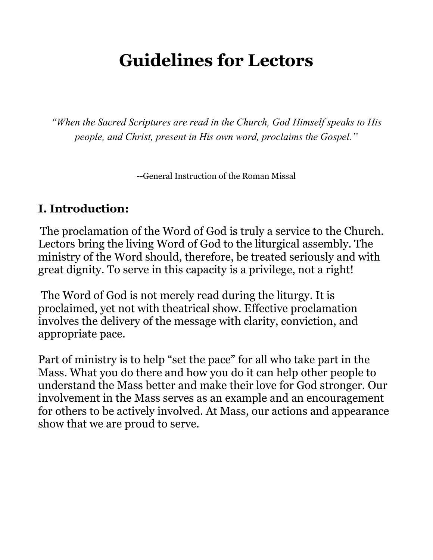# **Guidelines for Lectors**

*"When the Sacred Scriptures are read in the Church, God Himself speaks to His people, and Christ, present in His own word, proclaims the Gospel."*

--General Instruction of the Roman Missal

#### **I. Introduction:**

The proclamation of the Word of God is truly a service to the Church. Lectors bring the living Word of God to the liturgical assembly. The ministry of the Word should, therefore, be treated seriously and with great dignity. To serve in this capacity is a privilege, not a right!

The Word of God is not merely read during the liturgy. It is proclaimed, yet not with theatrical show. Effective proclamation involves the delivery of the message with clarity, conviction, and appropriate pace.

Part of ministry is to help "set the pace" for all who take part in the Mass. What you do there and how you do it can help other people to understand the Mass better and make their love for God stronger. Our involvement in the Mass serves as an example and an encouragement for others to be actively involved. At Mass, our actions and appearance show that we are proud to serve.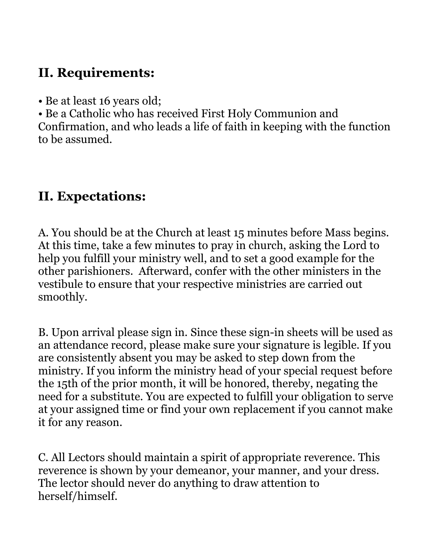## **II. Requirements:**

• Be at least 16 years old;

• Be a Catholic who has received First Holy Communion and Confirmation, and who leads a life of faith in keeping with the function to be assumed.

## **II. Expectations:**

A. You should be at the Church at least 15 minutes before Mass begins. At this time, take a few minutes to pray in church, asking the Lord to help you fulfill your ministry well, and to set a good example for the other parishioners. Afterward, confer with the other ministers in the vestibule to ensure that your respective ministries are carried out smoothly.

B. Upon arrival please sign in. Since these sign-in sheets will be used as an attendance record, please make sure your signature is legible. If you are consistently absent you may be asked to step down from the ministry. If you inform the ministry head of your special request before the 15th of the prior month, it will be honored, thereby, negating the need for a substitute. You are expected to fulfill your obligation to serve at your assigned time or find your own replacement if you cannot make it for any reason.

C. All Lectors should maintain a spirit of appropriate reverence. This reverence is shown by your demeanor, your manner, and your dress. The lector should never do anything to draw attention to herself/himself.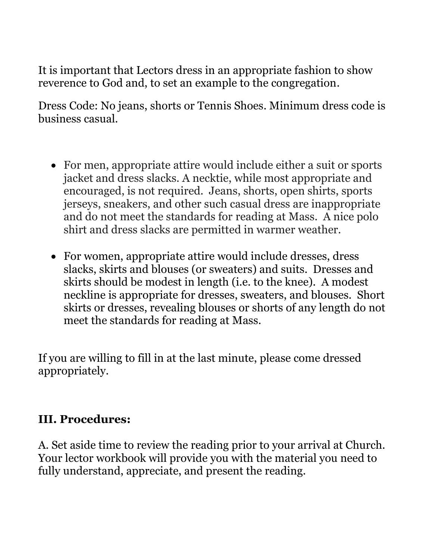It is important that Lectors dress in an appropriate fashion to show reverence to God and, to set an example to the congregation.

Dress Code: No jeans, shorts or Tennis Shoes. Minimum dress code is business casual.

- For men, appropriate attire would include either a suit or sports jacket and dress slacks. A necktie, while most appropriate and encouraged, is not required. Jeans, shorts, open shirts, sports jerseys, sneakers, and other such casual dress are inappropriate and do not meet the standards for reading at Mass. A nice polo shirt and dress slacks are permitted in warmer weather.
- For women, appropriate attire would include dresses, dress slacks, skirts and blouses (or sweaters) and suits. Dresses and skirts should be modest in length (i.e. to the knee). A modest neckline is appropriate for dresses, sweaters, and blouses. Short skirts or dresses, revealing blouses or shorts of any length do not meet the standards for reading at Mass.

If you are willing to fill in at the last minute, please come dressed appropriately.

#### **III. Procedures:**

A. Set aside time to review the reading prior to your arrival at Church. Your lector workbook will provide you with the material you need to fully understand, appreciate, and present the reading.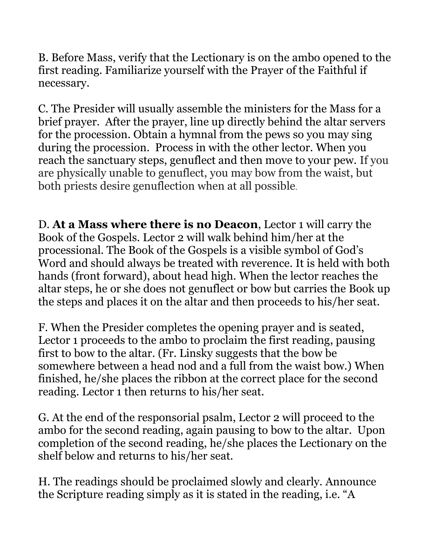B. Before Mass, verify that the Lectionary is on the ambo opened to the first reading. Familiarize yourself with the Prayer of the Faithful if necessary.

C. The Presider will usually assemble the ministers for the Mass for a brief prayer. After the prayer, line up directly behind the altar servers for the procession. Obtain a hymnal from the pews so you may sing during the procession. Process in with the other lector. When you reach the sanctuary steps, genuflect and then move to your pew. If you are physically unable to genuflect, you may bow from the waist, but both priests desire genuflection when at all possible.

D. **At a Mass where there is no Deacon**, Lector 1 will carry the Book of the Gospels. Lector 2 will walk behind him/her at the processional. The Book of the Gospels is a visible symbol of God's Word and should always be treated with reverence. It is held with both hands (front forward), about head high. When the lector reaches the altar steps, he or she does not genuflect or bow but carries the Book up the steps and places it on the altar and then proceeds to his/her seat.

F. When the Presider completes the opening prayer and is seated, Lector 1 proceeds to the ambo to proclaim the first reading, pausing first to bow to the altar. (Fr. Linsky suggests that the bow be somewhere between a head nod and a full from the waist bow.) When finished, he/she places the ribbon at the correct place for the second reading. Lector 1 then returns to his/her seat.

G. At the end of the responsorial psalm, Lector 2 will proceed to the ambo for the second reading, again pausing to bow to the altar. Upon completion of the second reading, he/she places the Lectionary on the shelf below and returns to his/her seat.

H. The readings should be proclaimed slowly and clearly. Announce the Scripture reading simply as it is stated in the reading, i.e. "A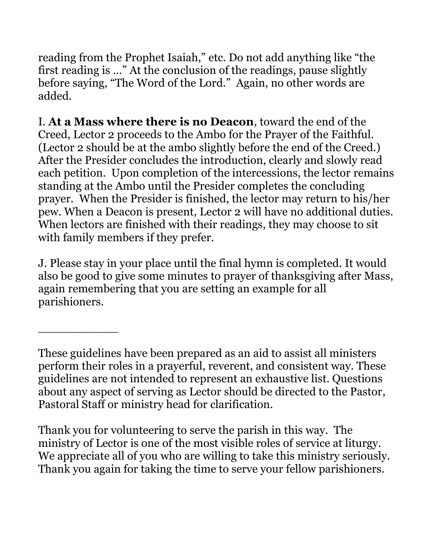reading from the Prophet Isaiah," etc. Do not add anything like "the first reading is …" At the conclusion of the readings, pause slightly before saying, "The Word of the Lord." Again, no other words are added.

I. **At a Mass where there is no Deacon**, toward the end of the Creed, Lector 2 proceeds to the Ambo for the Prayer of the Faithful. (Lector 2 should be at the ambo slightly before the end of the Creed.) After the Presider concludes the introduction, clearly and slowly read each petition. Upon completion of the intercessions, the lector remains standing at the Ambo until the Presider completes the concluding prayer. When the Presider is finished, the lector may return to his/her pew. When a Deacon is present, Lector 2 will have no additional duties. When lectors are finished with their readings, they may choose to sit with family members if they prefer.

J. Please stay in your place until the final hymn is completed. It would also be good to give some minutes to prayer of thanksgiving after Mass, again remembering that you are setting an example for all parishioners.

\_\_\_\_\_\_\_\_\_\_\_

Thank you for volunteering to serve the parish in this way. The ministry of Lector is one of the most visible roles of service at liturgy. We appreciate all of you who are willing to take this ministry seriously. Thank you again for taking the time to serve your fellow parishioners.

These guidelines have been prepared as an aid to assist all ministers perform their roles in a prayerful, reverent, and consistent way. These guidelines are not intended to represent an exhaustive list. Questions about any aspect of serving as Lector should be directed to the Pastor, Pastoral Staff or ministry head for clarification.